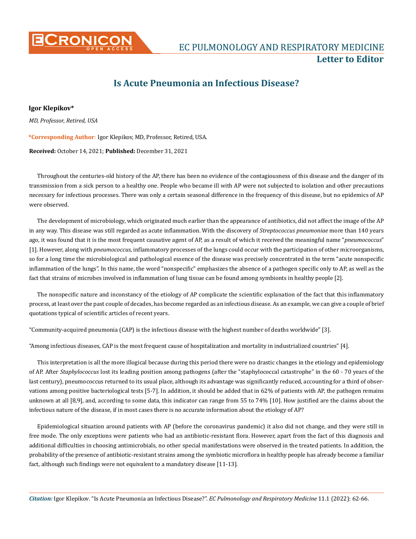

**CONICON** EC PULMONOLOGY AND RESPIRATORY MEDICINE **Letter to Editor**

## **Is Acute Pneumonia an Infectious Disease?**

*MD, Professor, Retired, USA* **Igor Klepikov\***

**\*Corresponding Author**: Igor Klepikov, MD, Professor, Retired, USA.

**Received:** October 14, 2021; **Published:** December 31, 2021

Throughout the centuries-old history of the AP, there has been no evidence of the contagiousness of this disease and the danger of its transmission from a sick person to a healthy one. People who became ill with AP were not subjected to isolation and other precautions necessary for infectious processes. There was only a certain seasonal difference in the frequency of this disease, but no epidemics of AP were observed.

The development of microbiology, which originated much earlier than the appearance of antibiotics, did not affect the image of the AP in any way. This disease was still regarded as acute inflammation. With the discovery of *Streptococcus pneumoniae* more than 140 years ago, it was found that it is the most frequent causative agent of AP, as a result of which it received the meaningful name "*pneumococcus*" [1]. However, along with *pneumococcus*, inflammatory processes of the lungs could occur with the participation of other microorganisms, so for a long time the microbiological and pathological essence of the disease was precisely concentrated in the term "acute nonspecific inflammation of the lungs". In this name, the word "nonspecific" emphasizes the absence of a pathogen specific only to AP, as well as the fact that strains of microbes involved in inflammation of lung tissue can be found among symbionts in healthy people [2].

The nonspecific nature and inconstancy of the etiology of AP complicate the scientific explanation of the fact that this inflammatory process, at least over the past couple of decades, has become regarded as an infectious disease. As an example, we can give a couple of brief quotations typical of scientific articles of recent years.

"Community-acquired pneumonia (CAP) is the infectious disease with the highest number of deaths worldwide" [3].

"Among infectious diseases, CAP is the most frequent cause of hospitalization and mortality in industrialized countries" [4].

This interpretation is all the more illogical because during this period there were no drastic changes in the etiology and epidemiology of AP. After *Staphylococcus* lost its leading position among pathogens (after the "staphylococcal catastrophe" in the 60 - 70 years of the last century), pneumococcus returned to its usual place, although its advantage was significantly reduced, accounting for a third of observations among positive bacteriological tests [5-7]. In addition, it should be added that in 62% of patients with AP, the pathogen remains unknown at all [8,9], and, according to some data, this indicator can range from 55 to 74% [10]. How justified are the claims about the infectious nature of the disease, if in most cases there is no accurate information about the etiology of AP?

Epidemiological situation around patients with AP (before the coronavirus pandemic) it also did not change, and they were still in free mode. The only exceptions were patients who had an antibiotic-resistant flora. However, apart from the fact of this diagnosis and additional difficulties in choosing antimicrobials, no other special manifestations were observed in the treated patients. In addition, the probability of the presence of antibiotic-resistant strains among the symbiotic microflora in healthy people has already become a familiar fact, although such findings were not equivalent to a mandatory disease [11-13].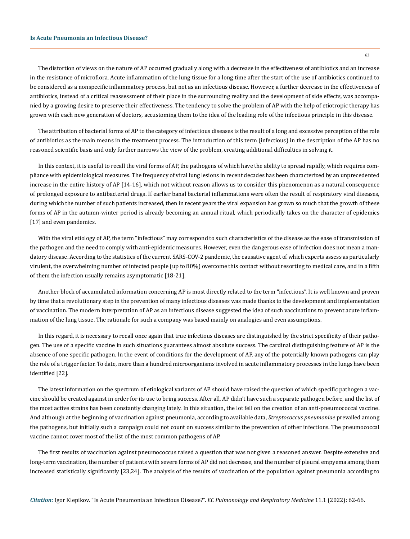The distortion of views on the nature of AP occurred gradually along with a decrease in the effectiveness of antibiotics and an increase in the resistance of microflora. Acute inflammation of the lung tissue for a long time after the start of the use of antibiotics continued to be considered as a nonspecific inflammatory process, but not as an infectious disease. However, a further decrease in the effectiveness of antibiotics, instead of a critical reassessment of their place in the surrounding reality and the development of side effects, was accompanied by a growing desire to preserve their effectiveness. The tendency to solve the problem of AP with the help of etiotropic therapy has grown with each new generation of doctors, accustoming them to the idea of the leading role of the infectious principle in this disease.

The attribution of bacterial forms of AP to the category of infectious diseases is the result of a long and excessive perception of the role of antibiotics as the main means in the treatment process. The introduction of this term (infectious) in the description of the AP has no reasoned scientific basis and only further narrows the view of the problem, creating additional difficulties in solving it.

In this context, it is useful to recall the viral forms of AP, the pathogens of which have the ability to spread rapidly, which requires compliance with epidemiological measures. The frequency of viral lung lesions in recent decades has been characterized by an unprecedented increase in the entire history of AP [14-16], which not without reason allows us to consider this phenomenon as a natural consequence of prolonged exposure to antibacterial drugs. If earlier banal bacterial inflammations were often the result of respiratory viral diseases, during which the number of such patients increased, then in recent years the viral expansion has grown so much that the growth of these forms of AP in the autumn-winter period is already becoming an annual ritual, which periodically takes on the character of epidemics [17] and even pandemics.

With the viral etiology of AP, the term "infectious" may correspond to such characteristics of the disease as the ease of transmission of the pathogen and the need to comply with anti-epidemic measures. However, even the dangerous ease of infection does not mean a mandatory disease. According to the statistics of the current SARS-COV-2 pandemic, the causative agent of which experts assess as particularly virulent, the overwhelming number of infected people (up to 80%) overcome this contact without resorting to medical care, and in a fifth of them the infection usually remains asymptomatic [18-21].

Another block of accumulated information concerning AP is most directly related to the term "infectious". It is well known and proven by time that a revolutionary step in the prevention of many infectious diseases was made thanks to the development and implementation of vaccination. The modern interpretation of AP as an infectious disease suggested the idea of such vaccinations to prevent acute inflammation of the lung tissue. The rationale for such a company was based mainly on analogies and even assumptions.

In this regard, it is necessary to recall once again that true infectious diseases are distinguished by the strict specificity of their pathogen. The use of a specific vaccine in such situations guarantees almost absolute success. The cardinal distinguishing feature of AP is the absence of one specific pathogen. In the event of conditions for the development of AP, any of the potentially known pathogens can play the role of a trigger factor. To date, more than a hundred microorganisms involved in acute inflammatory processes in the lungs have been identified [22].

The latest information on the spectrum of etiological variants of AP should have raised the question of which specific pathogen a vaccine should be created against in order for its use to bring success. After all, AP didn't have such a separate pathogen before, and the list of the most active strains has been constantly changing lately. In this situation, the lot fell on the creation of an anti-pneumococcal vaccine. And although at the beginning of vaccination against pneumonia, according to available data, *Streptococcus pneumoniae* prevailed among the pathogens, but initially such a campaign could not count on success similar to the prevention of other infections. The pneumococcal vaccine cannot cover most of the list of the most common pathogens of AP.

The first results of vaccination against pneumococcus raised a question that was not given a reasoned answer. Despite extensive and long-term vaccination, the number of patients with severe forms of AP did not decrease, and the number of pleural empyema among them increased statistically significantly [23,24]. The analysis of the results of vaccination of the population against pneumonia according to

63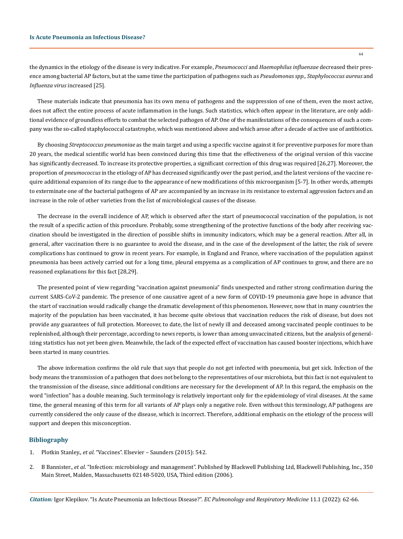the dynamics in the etiology of the disease is very indicative. For example, *Pneumococci* and *Haemophilus influenzae* decreased their presence among bacterial AP factors, but at the same time the participation of pathogens such as *Pseudomonas spp., Staphylococcus aureus* and *Influenza virus* increased [25].

These materials indicate that pneumonia has its own menu of pathogens and the suppression of one of them, even the most active, does not affect the entire process of acute inflammation in the lungs. Such statistics, which often appear in the literature, are only additional evidence of groundless efforts to combat the selected pathogen of AP. One of the manifestations of the consequences of such a company was the so-called staphylococcal catastrophe, which was mentioned above and which arose after a decade of active use of antibiotics.

By choosing *Streptococcus pneumoniae* as the main target and using a specific vaccine against it for preventive purposes for more than 20 years, the medical scientific world has been convinced during this time that the effectiveness of the original version of this vaccine has significantly decreased. To increase its protective properties, a significant correction of this drug was required [26,27]. Moreover, the proportion of *pneumococcus* in the etiology of AP has decreased significantly over the past period, and the latest versions of the vaccine require additional expansion of its range due to the appearance of new modifications of this microorganism [5-7]. In other words, attempts to exterminate one of the bacterial pathogens of AP are accompanied by an increase in its resistance to external aggression factors and an increase in the role of other varieties from the list of microbiological causes of the disease.

The decrease in the overall incidence of AP, which is observed after the start of pneumococcal vaccination of the population, is not the result of a specific action of this procedure. Probably, some strengthening of the protective functions of the body after receiving vaccination should be investigated in the direction of possible shifts in immunity indicators, which may be a general reaction. After all, in general, after vaccination there is no guarantee to avoid the disease, and in the case of the development of the latter, the risk of severe complications has continued to grow in recent years. For example, in England and France, where vaccination of the population against pneumonia has been actively carried out for a long time, pleural empyema as a complication of AP continues to grow, and there are no reasoned explanations for this fact [28,29].

The presented point of view regarding "vaccination against pneumonia" finds unexpected and rather strong confirmation during the current SARS-CoV-2 pandemic. The presence of one causative agent of a new form of COVID-19 pneumonia gave hope in advance that the start of vaccination would radically change the dramatic development of this phenomenon. However, now that in many countries the majority of the population has been vaccinated, it has become quite obvious that vaccination reduces the risk of disease, but does not provide any guarantees of full protection. Moreover, to date, the list of newly ill and deceased among vaccinated people continues to be replenished, although their percentage, according to news reports, is lower than among unvaccinated citizens, but the analysis of generalizing statistics has not yet been given. Meanwhile, the lack of the expected effect of vaccination has caused booster injections, which have been started in many countries.

The above information confirms the old rule that says that people do not get infected with pneumonia, but get sick. Infection of the body means the transmission of a pathogen that does not belong to the representatives of our microbiota, but this fact is not equivalent to the transmission of the disease, since additional conditions are necessary for the development of AP. In this regard, the emphasis on the word "infection" has a double meaning. Such terminology is relatively important only for the epidemiology of viral diseases. At the same time, the general meaning of this term for all variants of AP plays only a negative role. Even without this terminology, AP pathogens are currently considered the only cause of the disease, which is incorrect. Therefore, additional emphasis on the etiology of the process will support and deepen this misconception.

## **Bibliography**

- 1. Plotkin Stanley., *et al*. "Vaccines". Elsevier Saunders (2015): 542.
- 2. B Bannister., *et al*. "Infection: microbiology and management". Published by Blackwell Publishing Ltd, Blackwell Publishing, Inc., 350 Main Street, Malden, Massachusetts 02148-5020, USA, Third edition (2006).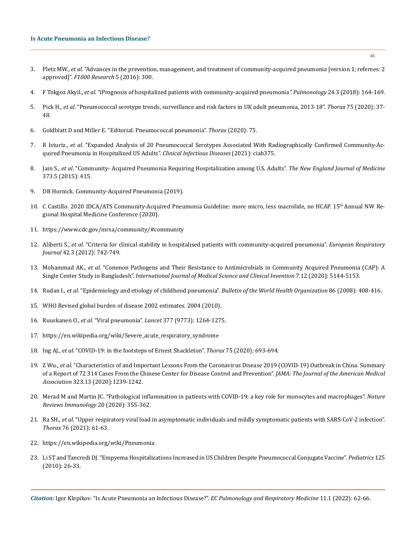- 3. Pletz MW., *et al*[. "Advances in the prevention, management, and treatment of community-acquired pneumonia \[version 1; referees: 2](https://www.ncbi.nlm.nih.gov/pmc/articles/PMC4786904/)  approved]". *[F1000 Research](https://www.ncbi.nlm.nih.gov/pmc/articles/PMC4786904/)* 5 (2016): 300.
- 4. F Tokgoz Akyil., *et al. "*[iPrognosis of hospitalized patients with community-acquired pneumonia](https://pubmed.ncbi.nlm.nih.gov/29463455/)*". Pulmonology* 24.3 (2018): 164-169.
- 5. Pick H., *et al*[. "Pneumococcal serotype trends, surveillance and risk factors in UK adult pneumonia, 2013-18".](https://pubmed.ncbi.nlm.nih.gov/31594801/) *Thorax* 75 (2020): 37- [48.](https://pubmed.ncbi.nlm.nih.gov/31594801/)
- 6. Goldblatt D and Miller E. "Editorial. Pneumococcal pneumonia". *Thorax* (2020): 75.
- 7. R Isturiz., *et al*[. "Expanded Analysis of 20 Pneumococcal Serotypes Associated With Radiographically Confirmed Community-Ac](https://pubmed.ncbi.nlm.nih.gov/33982098/)[quired Pneumonia in Hospitalized US Adults".](https://pubmed.ncbi.nlm.nih.gov/33982098/) *Clinical Infectious Diseases* (2021): ciab375.
- 8. Jain S., *et al*[. "Community- Acquired Pneumonia Requiring Hospitalization among U.S. Adults".](https://pubmed.ncbi.nlm.nih.gov/25714161/) *The New England Journal of Medicine* [373.5 \(2015\): 415.](https://pubmed.ncbi.nlm.nih.gov/25714161/)
- 9. [DB Hornick. Community-Acquired Pneumonia \(2019\).](https://emedicine.medscape.com/article/234240-overview)
- 10. С Castillo. 2020 IDCA/ATS Community-Acquired Pneumonia Guideline: more micro, less macrolide, no HCAP. 15th Annual NW Regional Hospital Medicine Conference (2020).
- 11. https://www.cdc.gov/mrsa/community/#community
- 12. Aliberti S., *et al*[. "Criteria for clinical stability in hospitalised patients with community-acquired pneumonia".](https://erj.ersjournals.com/content/42/3/742) *European Respiratory Journal* [42.3 \(2012\): 742-749.](https://erj.ersjournals.com/content/42/3/742)
- 13. Mohammad AK., *et al*[. "Common Pathogens and Their Resistance to Antimicrobials in Community Acquired Pneumonia \(CAP\): A](https://valleyinternational.net/index.php/ijmsci/article/view/2902)  Single Center Study in Bangladesh". *[International Journal of Medical](https://valleyinternational.net/index.php/ijmsci/article/view/2902) Science and Clinical Invention* 7.12 (2020): 5144-5153.
- 14. Rudan I., *et al*[. "Epidemiology and etiology of childhood pneumonia".](https://pubmed.ncbi.nlm.nih.gov/18545744/) *Bulletin of the World Health Organization* 86 (2008): 408-416.
- 15. [WHO Revised global burden of disease 2002 estimates. 2004 \(2010\).](https://www.who.int/healthinfo/global_burden_disease/GBD_report_2004update_full.pdf)
- 16. Ruuskanen O., *et al*. "Viral pneumonia". *Lancet* [377 \(9773\): 1264-1275.](https://pubmed.ncbi.nlm.nih.gov/21435708/)
- 17. [https://en.wikipedia.org/wiki/Severe\\_acute\\_respiratory\\_syndrome](https://en.wikipedia.org/wiki/Severe_acute_respiratory_syndrome)
- 18. Ing AJ., *et al*[. "COVID-19: in the footsteps of Ernest Shackleton".](https://www.ncbi.nlm.nih.gov/pmc/articles/PMC7402559/) *Thorax* 75 (2020): 693-694.
- 19. Z Wu., *et al*[. "Characteristics of and Important Lessons From the Coronavirus Disease 2019 \(COVID-19\) Outbreak in China. Summary](https://pubmed.ncbi.nlm.nih.gov/32091533/)  [of a Report of 72 314 Cases From the Chinese Center for Disease Control and Prevention".](https://pubmed.ncbi.nlm.nih.gov/32091533/) *JAMA: The Journal of the American Medical Association* [323.13 \(2020\):1239-1242.](https://pubmed.ncbi.nlm.nih.gov/32091533/)
- 20. [Merad M and Martin JC. "Pathological inflammation in patients with COVID-19: a key role for monocytes and macrophages".](https://www.nature.com/articles/s41577-020-0331-4) *Nature [Reviews Immunology](https://www.nature.com/articles/s41577-020-0331-4)* 20 (2020): 355-362.
- 21. Ra SH., *et al*[. "Upper respiratory viral load in asymptomatic individuals and mildly symptomatic patients with SARS-CoV-2 infection".](https://pubmed.ncbi.nlm.nih.gov/32963115/)  *Thorax* [76 \(2021\): 61-63.](https://pubmed.ncbi.nlm.nih.gov/32963115/)
- 22. <https://en.wikipedia.org/wiki/Pneumonia>
- 23. [Li ST and Tancredi DJ. "Empyema Hospitalizations Increased in US Children Despite Pneumococcal Conjugate Vaccine".](https://pubmed.ncbi.nlm.nih.gov/19948570/) *Pediatrics* 125 [\(2010\): 26-33.](https://pubmed.ncbi.nlm.nih.gov/19948570/)